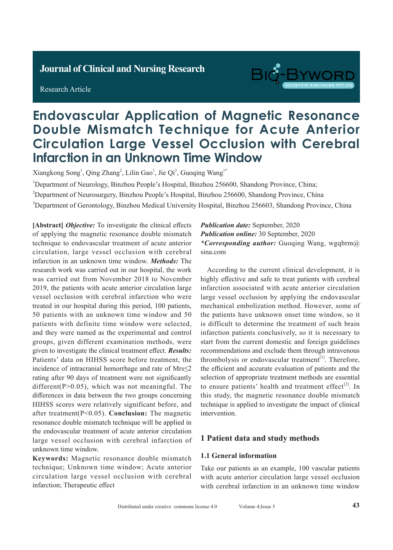# **Journal of Clinical and Nursing Research**

Research Article



# **Endovascular Application of Magnetic Resonance Double Mismatch Technique for Acute Anterior Circulation Large Vessel Occlusion with Cerebral Infarction in an Unknown Time Window**

Xiangkong Song<sup>1</sup>, Qing Zhang<sup>2</sup>, Lilin Gao<sup>1</sup>, Jie Qi<sup>3</sup>, Guoqing Wang<sup>1\*</sup>

<sup>1</sup>Department of Neurology, Binzhou People's Hospital, Binzhou 256600, Shandong Province, China;

<sup>2</sup>Department of Neurosurgery, Binzhou People's Hospital, Binzhou 256600, Shandong Province, China

<sup>3</sup>Department of Gerontology, Binzhou Medical University Hospital, Binzhou 256603, Shandong Province, China

**[Abstract]** *Objective:* To investigate the clinical effects of applying the magnetic resonance double mismatch technique to endovascular treatment of acute anterior circulation, large vessel occlusion with cerebral infarction in an unknown time window. *Methods:* The research work was carried out in our hospital, the work was carried out from November 2018 to November 2019, the patients with acute anterior circulation large vessel occlusion with cerebral infarction who were treated in our hospital during this period, 100 patients, 50 patients with an unknown time window and 50 patients with definite time window were selected, and they were named as the experimental and control groups, given different examination methods, were given to investigate the clinical treatment effect. *Results:*  Patients' data on HIHSS score before treatment, the incidence of intracranial hemorrhage and rate of Mrs≤2 rating after 90 days of treatment were not significantly different( $P>0.05$ ), which was not meaningful. The differences in data between the two groups concerning HIHSS scores were relatively significant before, and after treatment(P<0.05). **Conclusion:** The magnetic resonance double mismatch technique will be applied in the endovascular treatment of acute anterior circulation large vessel occlusion with cerebral infarction of unknown time window.

**Keywords:** Magnetic resonance double mismatch technique; Unknown time window; Acute anterior circulation large vessel occlusion with cerebral infarction; Therapeutic effect

# *Publication date:* September, 2020 *Publication online:* 30 September, 2020 *\*Corresponding author:* Guoqing Wang, wgqbrm@ sina.com

According to the current clinical development, it is highly effective and safe to treat patients with cerebral infarction associated with acute anterior circulation large vessel occlusion by applying the endovascular mechanical embolization method. However, some of the patients have unknown onset time window, so it is difficult to determine the treatment of such brain infarction patients conclusively, so it is necessary to start from the current domestic and foreign guidelines recommendations and exclude them through intravenous thrombolysis or endovascular treatment $[1]$ . Therefore, the efficient and accurate evaluation of patients and the selection of appropriate treatment methods are essential to ensure patients' health and treatment effect<sup>[2]</sup>. In this study, the magnetic resonance double mismatch technique is applied to investigate the impact of clinical intervention.

# **1 Patient data and study methods**

#### **1.1 General information**

Take our patients as an example, 100 vascular patients with acute anterior circulation large vessel occlusion with cerebral infarction in an unknown time window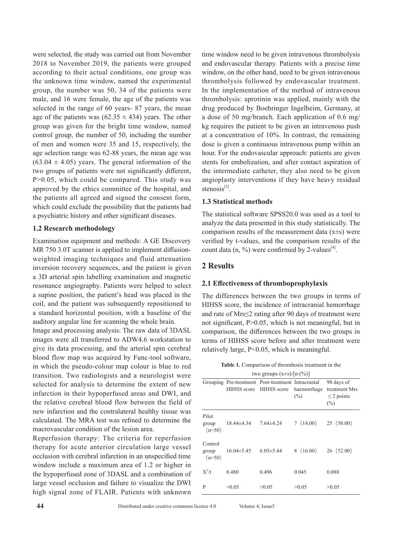were selected, the study was carried out from November 2018 to November 2019, the patients were grouped according to their actual conditions, one group was the unknown time window, named the experimental group, the number was 50, 34 of the patients were male, and 16 were female, the age of the patients was selected in the range of 60 years- 87 years, the mean age of the patients was  $(62.35 \pm 434)$  years. The other group was given for the bright time window, named control group, the number of 50, including the number of men and women were 35 and 15, respectively, the age selection range was 62-88 years, the mean age was  $(63.04 \pm 4.05)$  years. The general information of the two groups of patients were not significantly different, P>0.05, which could be compared. This study was approved by the ethics committee of the hospital, and the patients all agreed and signed the consent form, which could exclude the possibility that the patients had a psychiatric history and other significant diseases.

#### **1.2 Research methodology**

Examination equipment and methods: A GE Discovery MR 750 3.0T scanner is applied to implement diffusionweighted imaging techniques and fluid attenuation inversion recovery sequences, and the patient is given a 3D arterial spin labelling examination and magnetic resonance angiography. Patients were helped to select a supine position, the patient's head was placed in the coil, and the patient was subsequently repositioned to a standard horizontal position, with a baseline of the auditory angular line for scanning the whole brain.

Image and processing analysis: The raw data of 3DASL images were all transferred to ADW4.6 workstation to give its data processing, and the arterial spin cerebral blood flow map was acquired by Func-tool software, in which the pseudo-colour map colour is blue to red transition. Two radiologists and a neurologist were selected for analysis to determine the extent of new infarction in their hypoperfused areas and DWI, and the relative cerebral blood flow between the field of new infarction and the contralateral healthy tissue was calculated. The MRA test was refined to determine the macrovascular condition of the lesion area.

Reperfusion therapy: The criteria for reperfusion therapy for acute anterior circulation large vessel occlusion with cerebral infarction in an unspecified time window include a maximum area of 1.2 or higher in the hypoperfused zone of 3DASL and a combination of large vessel occlusion and failure to visualize the DWI high signal zone of FLAIR. Patients with unknown

time window need to be given intravenous thrombolysis and endovascular therapy. Patients with a precise time window, on the other hand, need to be given intravenous thrombolysis followed by endovascular treatment. In the implementation of the method of intravenous thrombolysis: aprotinin was applied, mainly with the drug produced by Boehringer Ingelheim, Germany, at a dose of 50 mg/branch. Each application of 0.6 mg/ kg requires the patient to be given an intravenous push at a concentration of 10%. In contrast, the remaining dose is given a continuous intravenous pump within an hour. For the endovascular approach: patients are given stents for embolization, and after contact aspiration of the intermediate catheter, they also need to be given angioplasty interventions if they have heavy residual stenosis $^{[3]}$ .

#### **1.3 Statistical methods**

The statistical software SPSS20.0 was used as a tool to analyze the data presented in this study statistically. The comparison results of the measurement data  $(x\pm s)$  were verified by t-values, and the comparison results of the count data  $(n, %)$  were confirmed by 2-values<sup>[4]</sup>.

### **2 Results**

#### **2.1 Effectiveness of thromboprophylaxis**

The differences between the two groups in terms of HIHSS score, the incidence of intracranial hemorrhage and rate of Mrs≤2 rating after 90 days of treatment were not significant, P>0.05, which is not meaningful, but in comparison, the differences between the two groups in terms of HIHSS score before and after treatment were relatively large, P<0.05, which is meaningful.

**Table 1.** Comparison of thrombosis treatment in the two groups  $(x+a)/[n/(b^2)]$ 

| $100 \text{ groups} (X \equiv S)/ H  (70)$ |                  |                                                                                           |          |                                                       |
|--------------------------------------------|------------------|-------------------------------------------------------------------------------------------|----------|-------------------------------------------------------|
|                                            |                  | Grouping Pre-treatment Post-treatment Intracranial<br>HIHSS score HIHSS score haemorrhage | $(\%)$   | 90 days of<br>treatment Mrs<br>$\leq$ 2 points<br>(%) |
| Pilot<br>group<br>$(n=50)$                 | 18.44±4.34       | $7.64 \pm 4.24$                                                                           | 7(14.00) | 25(50.00)                                             |
| Control<br>group<br>$(n=50)$               | $16.04 \pm 5.45$ | $6.05 \pm 5.44$                                                                           | 8(16.00) | 26(52.00)                                             |
| $X^2/t$                                    | 0.480            | 0.496                                                                                     | 0.045    | 0.088                                                 |
| P                                          | >0.05            | >0.05                                                                                     | >0.05    | >0.05                                                 |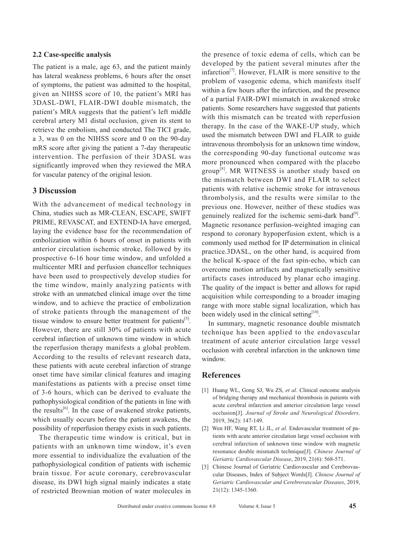#### **2.2 Case-specific analysis**

The patient is a male, age 63, and the patient mainly has lateral weakness problems, 6 hours after the onset of symptoms, the patient was admitted to the hospital, given an NIHSS score of 10, the patient's MRI has 3DASL-DWI, FLAIR-DWI double mismatch, the patient's MRA suggests that the patient's left middle cerebral artery M1 distal occlusion, given its stent to retrieve the embolism, and conducted The TICI grade, a 3, was 0 on the NIHSS score and 0 on the 90-day mRS score after giving the patient a 7-day therapeutic intervention. The perfusion of their 3DASL was significantly improved when they reviewed the MRA for vascular patency of the original lesion.

#### **3 Discussion**

With the advancement of medical technology in China, studies such as MR-CLEAN, ESCAPE, SWIFT PRIME, REVASCAT, and EXTEND-IA have emerged, laying the evidence base for the recommendation of embolization within 6 hours of onset in patients with anterior circulation ischemic stroke, followed by its prospective 6-16 hour time window, and unfolded a multicenter MRI and perfusion chancellor techniques have been used to prospectively develop studies for the time window, mainly analyzing patients with stroke with an unmatched clinical image over the time window, and to achieve the practice of embolization of stroke patients through the management of the tissue window to ensure better treatment for patients<sup>[5]</sup>. However, there are still 30% of patients with acute cerebral infarction of unknown time window in which the reperfusion therapy manifests a global problem. According to the results of relevant research data, these patients with acute cerebral infarction of strange onset time have similar clinical features and imaging manifestations as patients with a precise onset time of 3-6 hours, which can be derived to evaluate the pathophysiological condition of the patients in line with the results<sup>[6]</sup>. In the case of awakened stroke patients, which usually occurs before the patient awakens, the possibility of reperfusion therapy exists in such patients.

The therapeutic time window is critical, but in patients with an unknown time window, it's even more essential to individualize the evaluation of the pathophysiological condition of patients with ischemic brain tissue. For acute coronary, cerebrovascular disease, its DWI high signal mainly indicates a state of restricted Brownian motion of water molecules in

the presence of toxic edema of cells, which can be developed by the patient several minutes after the infarction $^{[7]}$ . However, FLAIR is more sensitive to the problem of vasogenic edema, which manifests itself within a few hours after the infarction, and the presence of a partial FAIR-DWI mismatch in awakened stroke patients. Some researchers have suggested that patients with this mismatch can be treated with reperfusion therapy. In the case of the WAKE-UP study, which used the mismatch between DWI and FLAIR to guide intravenous thrombolysis for an unknown time window, the corresponding 90-day functional outcome was more pronounced when compared with the placebo group<sup>[8]</sup>. MR WITNESS is another study based on the mismatch between DWI and FLAIR to select patients with relative ischemic stroke for intravenous thrombolysis, and the results were similar to the previous one. However, neither of these studies was genuinely realized for the ischemic semi-dark band<sup>[9]</sup>. Magnetic resonance perfusion-weighted imaging can respond to coronary hypoperfusion extent, which is a commonly used method for IP determination in clinical practice.3DASL, on the other hand, is acquired from the helical K-space of the fast spin-echo, which can overcome motion artifacts and magnetically sensitive artifacts cases introduced by planar echo imaging. The quality of the impact is better and allows for rapid acquisition while corresponding to a broader imaging range with more stable signal localization, which has been widely used in the clinical setting $[10]$ .

In summary, magnetic resonance double mismatch technique has been applied to the endovascular treatment of acute anterior circulation large vessel occlusion with cerebral infarction in the unknown time window.

#### **References**

- [1] Huang WL, Gong SJ, Wu ZS, *et al*. Clinical outcome analysis of bridging therapy and mechanical thrombosis in patients with acute cerebral infarction and anterior circulation large vessel occlusion[J]. *Journal of Stroke and Neurological Disorders,* 2019, 36(2): 147-149.
- [2] Wen HF, Wang RT, Li JL, *et al*. Endovascular treatment of patients with acute anterior circulation large vessel occlusion with cerebral infarction of unknown time window with magnetic resonance double mismatch technique[J]. *Chinese Journal of Geriatric Cardiovascular Disease*, 2019, 21(6): 568-571.
- [3] Chinese Journal of Geriatric Cardiovascular and Cerebrovascular Diseases, Index of Subject Words[J]. *Chinese Journal of Geriatric Cardiovascular and Cerebrovascular Diseases*, 2019, 21(12): 1345-1360.